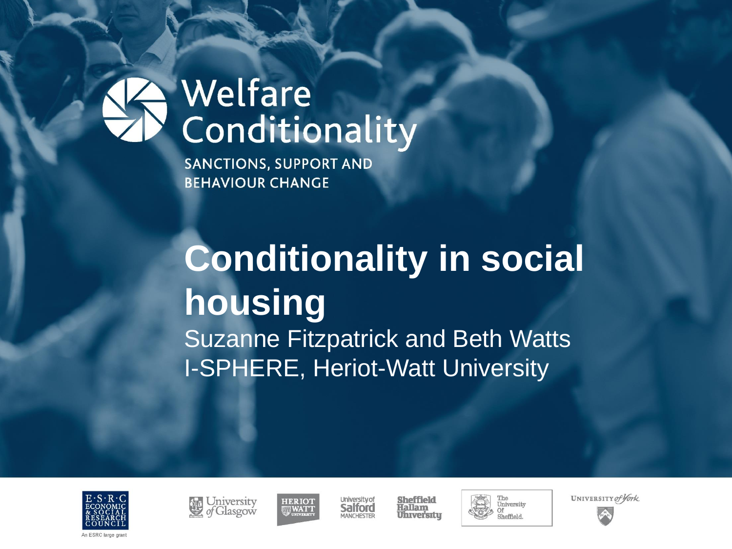## Welfare Conditionality

**SANCTIONS, SUPPORT AND BEHAVIOUR CHANGE** 

# **Conditionality in social housing**

Suzanne Fitzpatrick and Beth Watts I-SPHERE, Heriot-Watt University







**University of** Salford MANCHESTER

Sheffield Hallam **Uhrversitu** 





UNIVERSITY of York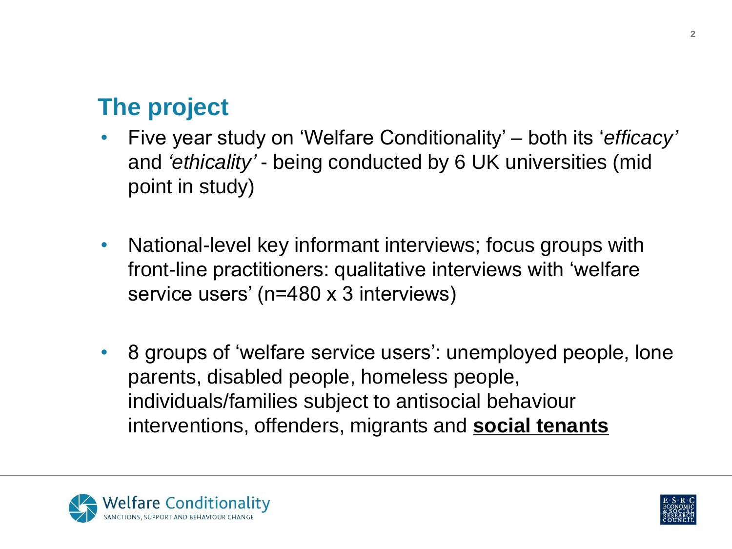#### **The project**

- Five year study on 'Welfare Conditionality' both its '*efficacy'* and *'ethicality'* - being conducted by 6 UK universities (mid point in study)
- National-level key informant interviews; focus groups with front-line practitioners: qualitative interviews with 'welfare service users' (n=480 x 3 interviews)
- 8 groups of 'welfare service users': unemployed people, lone parents, disabled people, homeless people, individuals/families subject to antisocial behaviour interventions, offenders, migrants and **social tenants**



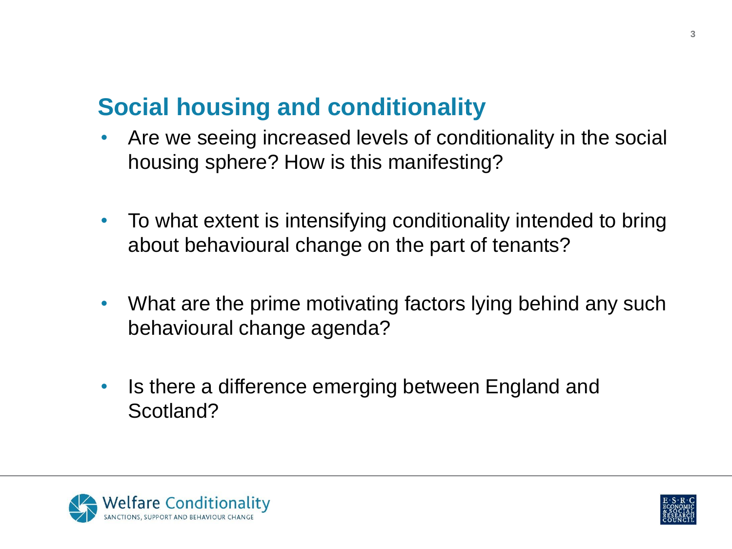#### **Social housing and conditionality**

- Are we seeing increased levels of conditionality in the social housing sphere? How is this manifesting?
- To what extent is intensifying conditionality intended to bring about behavioural change on the part of tenants?
- What are the prime motivating factors lying behind any such behavioural change agenda?
- Is there a difference emerging between England and Scotland?



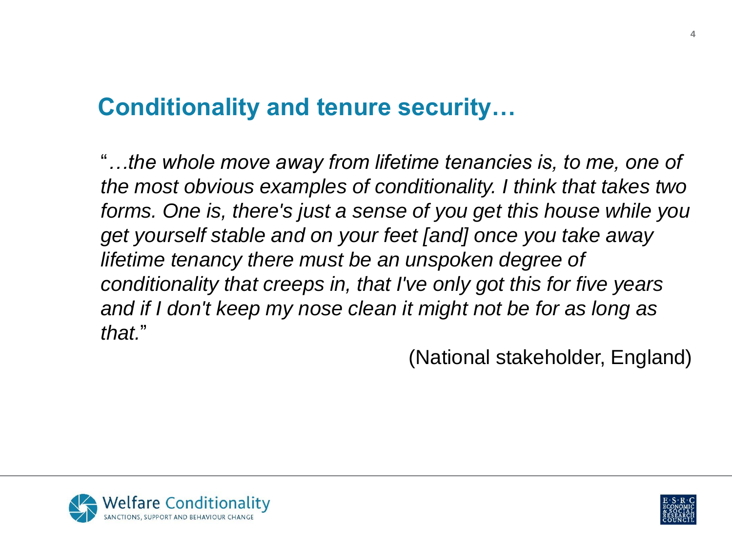#### **Conditionality and tenure security…**

"*…the whole move away from lifetime tenancies is, to me, one of the most obvious examples of conditionality. I think that takes two forms. One is, there's just a sense of you get this house while you get yourself stable and on your feet [and] once you take away lifetime tenancy there must be an unspoken degree of conditionality that creeps in, that I've only got this for five years and if I don't keep my nose clean it might not be for as long as that.*"

(National stakeholder, England)



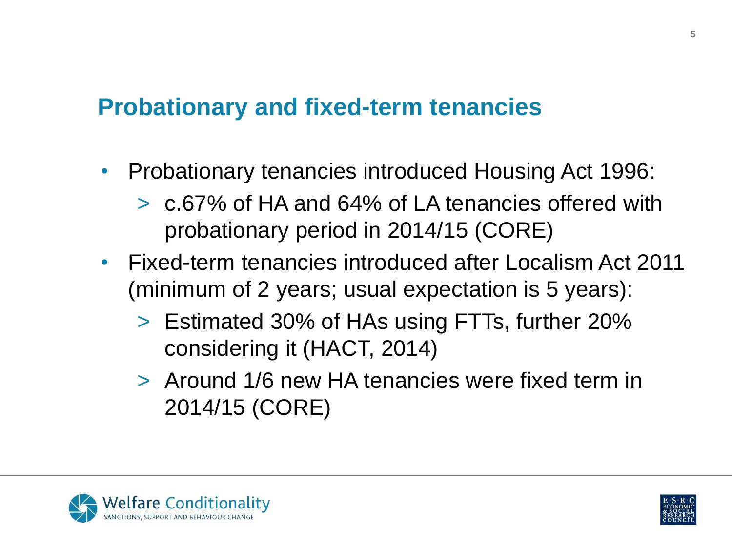#### **Probationary and fixed-term tenancies**

- Probationary tenancies introduced Housing Act 1996:
	- > c.67% of HA and 64% of LA tenancies offered with probationary period in 2014/15 (CORE)
- Fixed-term tenancies introduced after Localism Act 2011 (minimum of 2 years; usual expectation is 5 years):
	- > Estimated 30% of HAs using FTTs, further 20% considering it (HACT, 2014)
	- > Around 1/6 new HA tenancies were fixed term in 2014/15 (CORE)



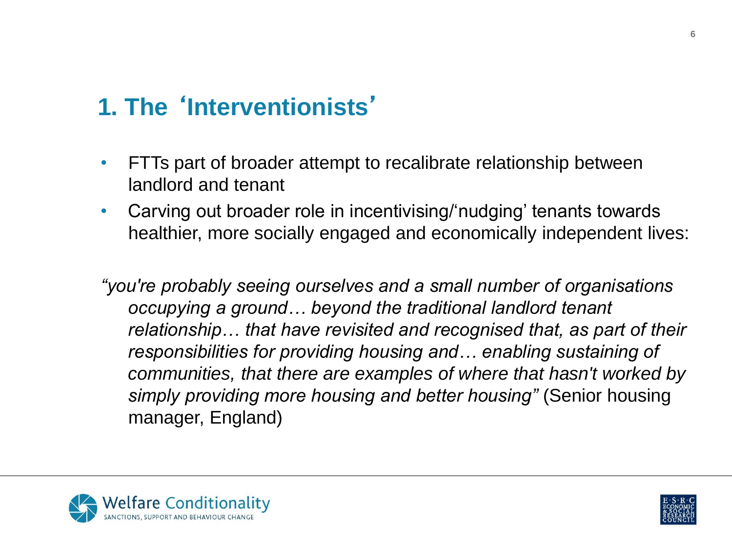### **1. The** '**Interventionists**'

- FTTs part of broader attempt to recalibrate relationship between landlord and tenant
- Carving out broader role in incentivising/'nudging' tenants towards healthier, more socially engaged and economically independent lives:

*"you're probably seeing ourselves and a small number of organisations occupying a ground… beyond the traditional landlord tenant relationship… that have revisited and recognised that, as part of their responsibilities for providing housing and… enabling sustaining of communities, that there are examples of where that hasn't worked by simply providing more housing and better housing"* (Senior housing manager, England)



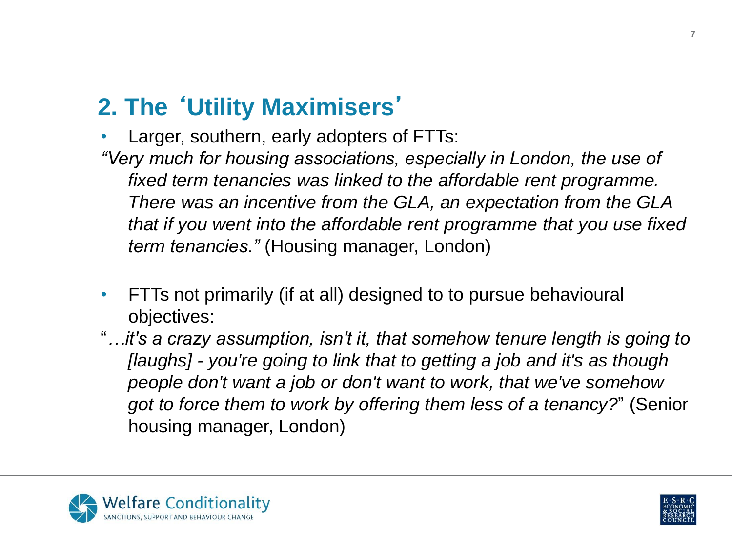### **2. The** '**Utility Maximisers**'

Larger, southern, early adopters of FTTs: *"Very much for housing associations, especially in London, the use of fixed term tenancies was linked to the affordable rent programme. There was an incentive from the GLA, an expectation from the GLA that if you went into the affordable rent programme that you use fixed term tenancies."* (Housing manager, London)

- FTTs not primarily (if at all) designed to to pursue behavioural objectives:
- "*…it's a crazy assumption, isn't it, that somehow tenure length is going to [laughs] - you're going to link that to getting a job and it's as though people don't want a job or don't want to work, that we've somehow got to force them to work by offering them less of a tenancy?*" (Senior housing manager, London)



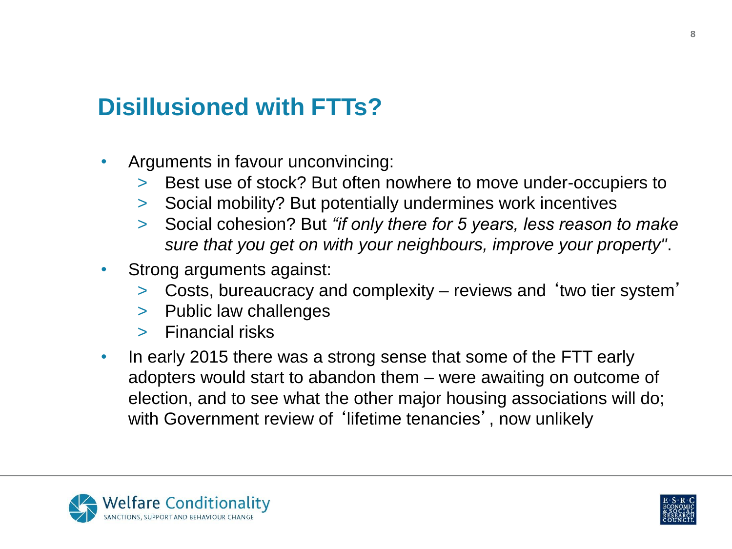#### **Disillusioned with FTTs?**

- Arguments in favour unconvincing:
	- > Best use of stock? But often nowhere to move under-occupiers to
	- > Social mobility? But potentially undermines work incentives
	- > Social cohesion? But *"if only there for 5 years, less reason to make sure that you get on with your neighbours, improve your property"*.
- Strong arguments against:
	- > Costs, bureaucracy and complexity reviews and 'two tier system'
	- > Public law challenges
	- > Financial risks
- In early 2015 there was a strong sense that some of the FTT early adopters would start to abandon them – were awaiting on outcome of election, and to see what the other major housing associations will do; with Government review of 'lifetime tenancies', now unlikely



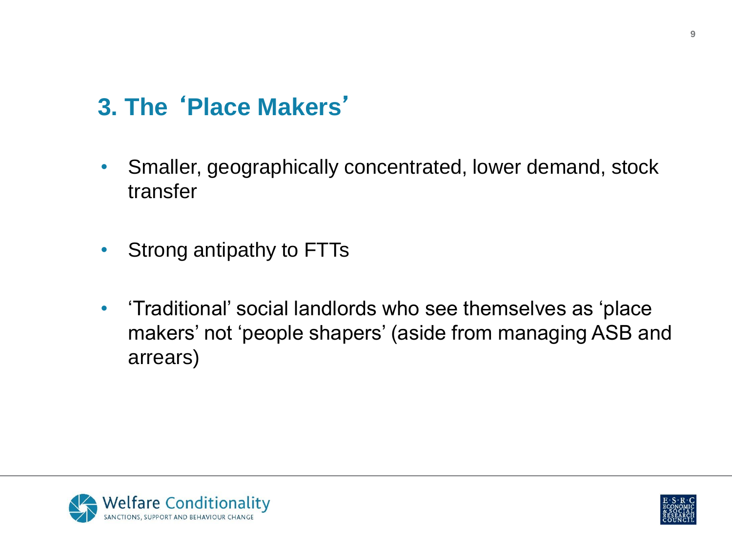### **3. The** '**Place Makers**'

- Smaller, geographically concentrated, lower demand, stock transfer
- Strong antipathy to FTTs
- 'Traditional' social landlords who see themselves as 'place makers' not 'people shapers' (aside from managing ASB and arrears)



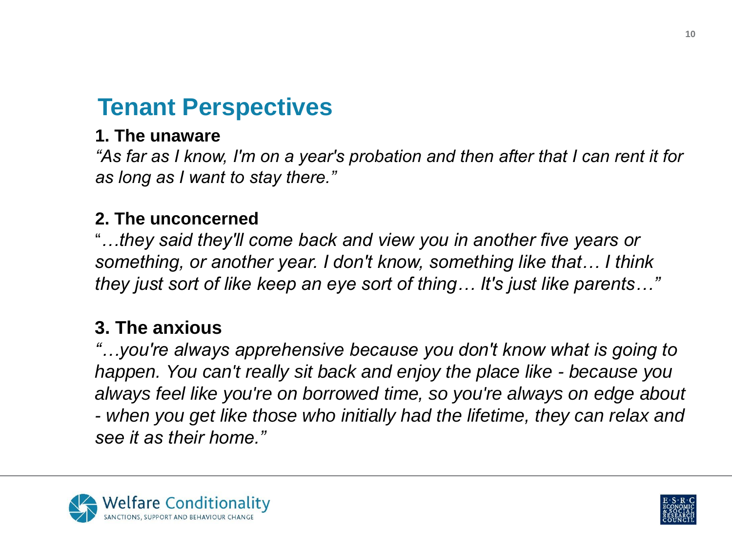#### **Tenant Perspectives**

#### **1. The unaware**

*"As far as I know, I'm on a year's probation and then after that I can rent it for as long as I want to stay there."*

#### **2. The unconcerned**

"*…they said they'll come back and view you in another five years or something, or another year. I don't know, something like that… I think they just sort of like keep an eye sort of thing… It's just like parents…"*

#### **3. The anxious**

*"…you're always apprehensive because you don't know what is going to happen. You can't really sit back and enjoy the place like - because you always feel like you're on borrowed time, so you're always on edge about - when you get like those who initially had the lifetime, they can relax and see it as their home."*



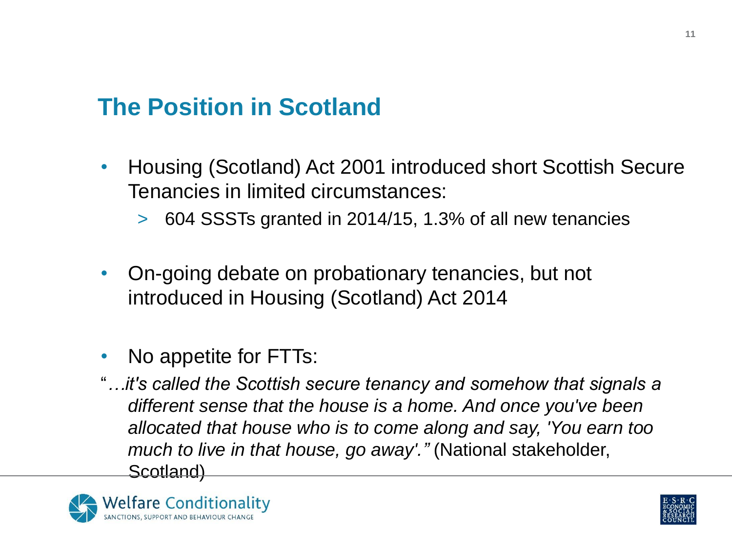#### **The Position in Scotland**

- Housing (Scotland) Act 2001 introduced short Scottish Secure Tenancies in limited circumstances:
	- > 604 SSSTs granted in 2014/15, 1.3% of all new tenancies
- On-going debate on probationary tenancies, but not introduced in Housing (Scotland) Act 2014
- No appetite for FTTs:
- "*…it's called the Scottish secure tenancy and somehow that signals a different sense that the house is a home. And once you've been allocated that house who is to come along and say, 'You earn too much to live in that house, go away'."* (National stakeholder, Scotland)



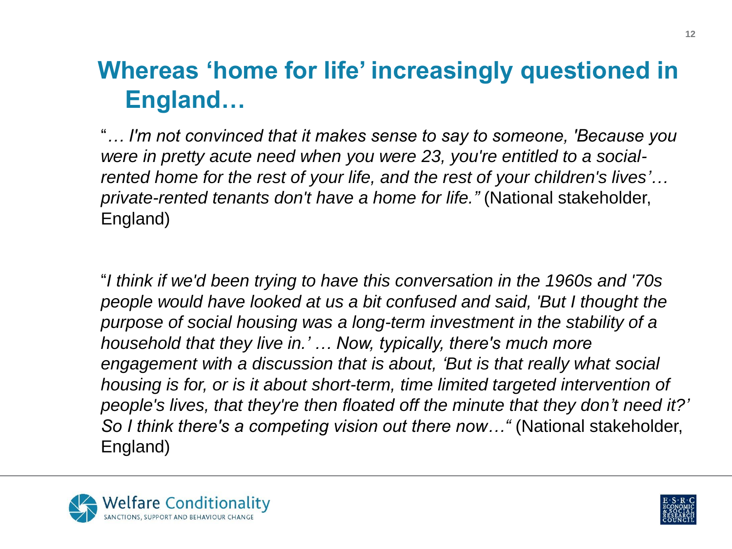#### **Whereas 'home for life' increasingly questioned in England…**

"*… I'm not convinced that it makes sense to say to someone, 'Because you were in pretty acute need when you were 23, you're entitled to a socialrented home for the rest of your life, and the rest of your children's lives'… private-rented tenants don't have a home for life."* (National stakeholder, England)

"*I think if we'd been trying to have this conversation in the 1960s and '70s people would have looked at us a bit confused and said, 'But I thought the purpose of social housing was a long-term investment in the stability of a household that they live in.' … Now, typically, there's much more engagement with a discussion that is about, 'But is that really what social housing is for, or is it about short-term, time limited targeted intervention of people's lives, that they're then floated off the minute that they don't need it?' So I think there's a competing vision out there now…"* (National stakeholder, England)